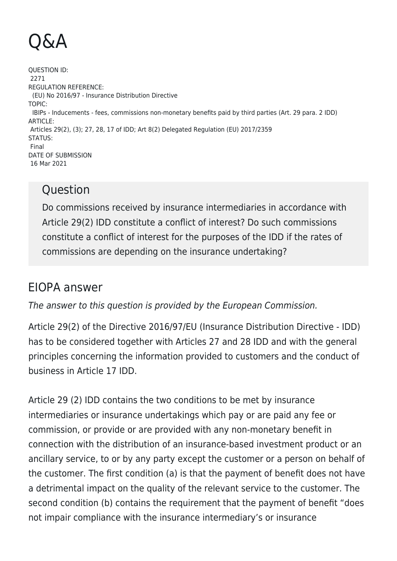## Q&A

QUESTION ID: 2271 REGULATION REFERENCE: (EU) No 2016/97 - Insurance Distribution Directive TOPIC: IBIPs - Inducements - fees, commissions non-monetary benefits paid by third parties (Art. 29 para. 2 IDD) ARTICLE: Articles 29(2), (3); 27, 28, 17 of IDD; Art 8(2) Delegated Regulation (EU) 2017/2359 STATUS: Final DATE OF SUBMISSION 16 Mar 2021

## **Ouestion**

Do commissions received by insurance intermediaries in accordance with Article 29(2) IDD constitute a conflict of interest? Do such commissions constitute a conflict of interest for the purposes of the IDD if the rates of commissions are depending on the insurance undertaking?

## EIOPA answer

The answer to this question is provided by the European Commission.

Article 29(2) of the Directive 2016/97/EU (Insurance Distribution Directive - IDD) has to be considered together with Articles 27 and 28 IDD and with the general principles concerning the information provided to customers and the conduct of business in Article 17 IDD.

Article 29 (2) IDD contains the two conditions to be met by insurance intermediaries or insurance undertakings which pay or are paid any fee or commission, or provide or are provided with any non-monetary benefit in connection with the distribution of an insurance-based investment product or an ancillary service, to or by any party except the customer or a person on behalf of the customer. The first condition (a) is that the payment of benefit does not have a detrimental impact on the quality of the relevant service to the customer. The second condition (b) contains the requirement that the payment of benefit "does not impair compliance with the insurance intermediary's or insurance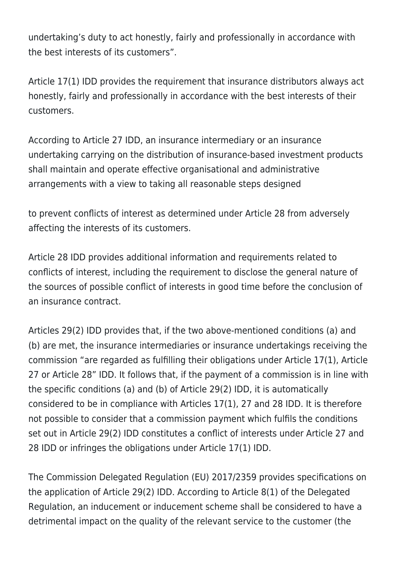undertaking's duty to act honestly, fairly and professionally in accordance with the best interests of its customers".

Article 17(1) IDD provides the requirement that insurance distributors always act honestly, fairly and professionally in accordance with the best interests of their customers.

According to Article 27 IDD, an insurance intermediary or an insurance undertaking carrying on the distribution of insurance-based investment products shall maintain and operate effective organisational and administrative arrangements with a view to taking all reasonable steps designed

to prevent conflicts of interest as determined under Article 28 from adversely affecting the interests of its customers.

Article 28 IDD provides additional information and requirements related to conflicts of interest, including the requirement to disclose the general nature of the sources of possible conflict of interests in good time before the conclusion of an insurance contract.

Articles 29(2) IDD provides that, if the two above-mentioned conditions (a) and (b) are met, the insurance intermediaries or insurance undertakings receiving the commission "are regarded as fulfilling their obligations under Article 17(1), Article 27 or Article 28" IDD. It follows that, if the payment of a commission is in line with the specific conditions (a) and (b) of Article 29(2) IDD, it is automatically considered to be in compliance with Articles 17(1), 27 and 28 IDD. It is therefore not possible to consider that a commission payment which fulfils the conditions set out in Article 29(2) IDD constitutes a conflict of interests under Article 27 and 28 IDD or infringes the obligations under Article 17(1) IDD.

The Commission Delegated Regulation (EU) 2017/2359 provides specifications on the application of Article 29(2) IDD. According to Article 8(1) of the Delegated Regulation, an inducement or inducement scheme shall be considered to have a detrimental impact on the quality of the relevant service to the customer (the